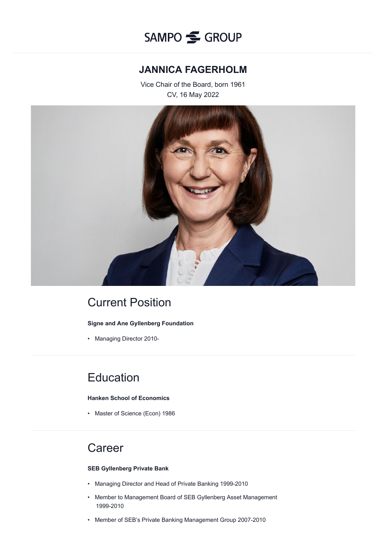

### **JANNICA FAGERHOLM**

Vice Chair of the Board, born 1961 CV, 16 May 2022



## Current Position

#### **Signe and Ane Gyllenberg Foundation**

• Managing Director 2010-

### **Education**

#### **Hanken School of Economics**

• Master of Science (Econ) 1986

### **Career**

#### **SEB Gyllenberg Private Bank**

- Managing Director and Head of Private Banking 1999-2010
- Member to Management Board of SEB Gyllenberg Asset Management 1999-2010
- Member of SEB's Private Banking Management Group 2007-2010